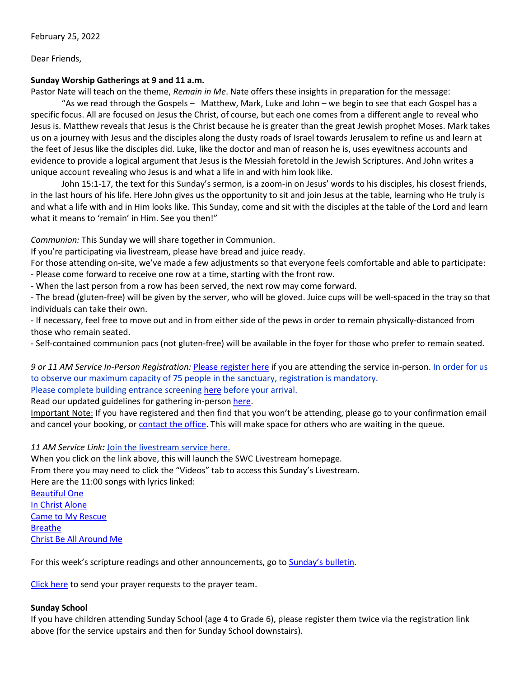Dear Friends,

# **Sunday Worship Gatherings at 9 and 11 a.m.**

Pastor Nate will teach on the theme, *Remain in Me*. Nate offers these insights in preparation for the message:

"As we read through the Gospels – Matthew, Mark, Luke and John – we begin to see that each Gospel has a specific focus. All are focused on Jesus the Christ, of course, but each one comes from a different angle to reveal who Jesus is. Matthew reveals that Jesus is the Christ because he is greater than the great Jewish prophet Moses. Mark takes us on a journey with Jesus and the disciples along the dusty roads of Israel towards Jerusalem to refine us and learn at the feet of Jesus like the disciples did. Luke, like the doctor and man of reason he is, uses eyewitness accounts and evidence to provide a logical argument that Jesus is the Messiah foretold in the Jewish Scriptures. And John writes a unique account revealing who Jesus is and what a life in and with him look like.

John 15:1-17, the text for this Sunday's sermon, is a zoom-in on Jesus' words to his disciples, his closest friends, in the last hours of his life. Here John gives us the opportunity to sit and join Jesus at the table, learning who He truly is and what a life with and in Him looks like. This Sunday, come and sit with the disciples at the table of the Lord and learn what it means to 'remain' in Him. See you then!"

*Communion:* This Sunday we will share together in Communion.

If you're participating via livestream, please have bread and juice ready.

For those attending on-site, we've made a few adjustments so that everyone feels comfortable and able to participate:

- Please come forward to receive one row at a time, starting with the front row.

- When the last person from a row has been served, the next row may come forward.

- The bread (gluten-free) will be given by the server, who will be gloved. Juice cups will be well-spaced in the tray so that individuals can take their own.

- If necessary, feel free to move out and in from either side of the pews in order to remain physically-distanced from those who remain seated.

- Self-contained communion pacs (not gluten-free) will be available in the foyer for those who prefer to remain seated.

*9 or 11 AM Service In-Person Registration:* [Please register here](https://rsvp.church/r/gedIlGjG) if you are attending the service in-person. In order for us to observe our maximum capacity of 75 people in the sanctuary, registration is mandatory. Please complete building entrance screening [here](https://docs.google.com/forms/d/142BvGHVjXtrt61YDoOeLzLdwTD4wvIcCtnpuM6RNz6w/viewform?edit_requested=true) before your arrival.

Read our updated guidelines for gathering in-perso[n here.](http://www.sunnysidechurch.ca/wp/wp-content/uploads/Worshipping-Together-Guidelines-January-2022.pdf)

Important Note: If you have registered and then find that you won't be attending, please go to your confirmation email and cancel your booking, or [contact the office.](mailto:office@sunnysidechurch.ca) This will make space for others who are waiting in the queue.

*11 AM Service Link:* [Join the livestream service here.](https://www.youtube.com/channel/UCYfl9Qy37Az7fqqFQpDEwjg)

When you click on the link above, this will launch the SWC Livestream homepage.

From there you may need to click the "Videos" tab to access this Sunday's Livestream.

Here are the 11:00 songs with lyrics linked:

[Beautiful One](https://mojim.com/usy141081x7x34.htm) [In Christ Alone](https://www.stuarttownend.co.uk/song/in-christ-alone/) [Came to My Rescue](https://genius.com/Bethel-music-came-to-my-rescue-lyrics) [Breathe](http://www.songlyrics.com/marie-barnett/breathe-lyrics/) [Christ Be All Around Me](https://www.azlyrics.com/lyrics/allsonsdaughters/christbeallaroundme.html)

For this week's scripture readings and other announcements, go t[o Sunday's bulletin](http://www.sunnysidechurch.ca/wp/wp-content/uploads/20220227.pdf).

[Click here](mailto:prayer@sunnysidechurch.ca) to send your prayer requests to the prayer team.

# **Sunday School**

If you have children attending Sunday School (age 4 to Grade 6), please register them twice via the registration link above (for the service upstairs and then for Sunday School downstairs).